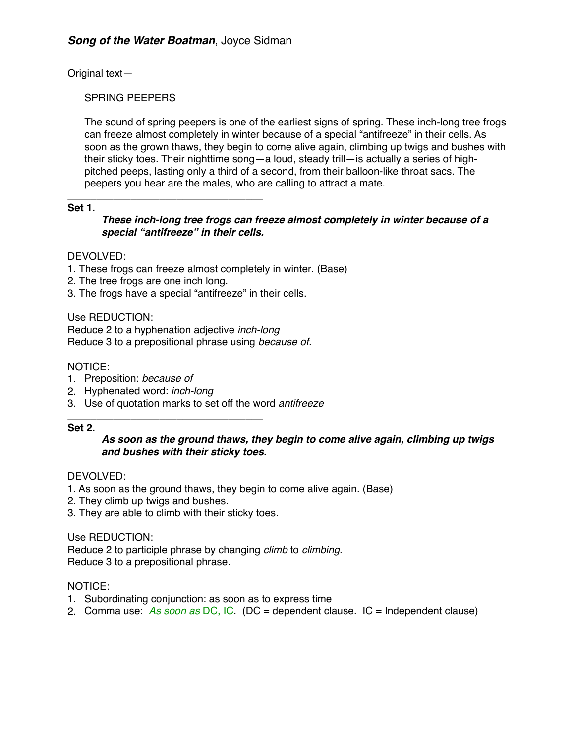Original text—

## SPRING PEEPERS

The sound of spring peepers is one of the earliest signs of spring. These inch-long tree frogs can freeze almost completely in winter because of a special "antifreeze" in their cells. As soon as the grown thaws, they begin to come alive again, climbing up twigs and bushes with their sticky toes. Their nighttime song—a loud, steady trill—is actually a series of highpitched peeps, lasting only a third of a second, from their balloon-like throat sacs. The peepers you hear are the males, who are calling to attract a mate.

#### \_\_\_\_\_\_\_\_\_\_\_\_\_\_\_\_\_\_\_\_\_\_\_\_\_\_\_\_\_\_\_\_\_\_ **Set 1.**

*These inch-long tree frogs can freeze almost completely in winter because of a special "antifreeze" in their cells.*

# DEVOLVED:

- 1. These frogs can freeze almost completely in winter. (Base)
- 2. The tree frogs are one inch long.
- 3. The frogs have a special "antifreeze" in their cells.

Use REDUCTION: Reduce 2 to a hyphenation adjective *inch-long* Reduce 3 to a prepositional phrase using *because of.*

# NOTICE:

- 1. Preposition: *because of*
- 2. Hyphenated word: *inch-long*
- 3. Use of quotation marks to set off the word *antifreeze*

#### \_\_\_\_\_\_\_\_\_\_\_\_\_\_\_\_\_\_\_\_\_\_\_\_\_\_\_\_\_\_\_\_\_\_ **Set 2.**

# *As soon as the ground thaws, they begin to come alive again, climbing up twigs and bushes with their sticky toes.*

## DEVOLVED:

- 1. As soon as the ground thaws, they begin to come alive again. (Base)
- 2. They climb up twigs and bushes.
- 3. They are able to climb with their sticky toes.

## Use REDUCTION:

Reduce 2 to participle phrase by changing *climb* to *climbing*. Reduce 3 to a prepositional phrase.

## NOTICE:

- 1. Subordinating conjunction: as soon as to express time
- 2. Comma use: *As soon as* DC, IC. (DC = dependent clause. IC = Independent clause)